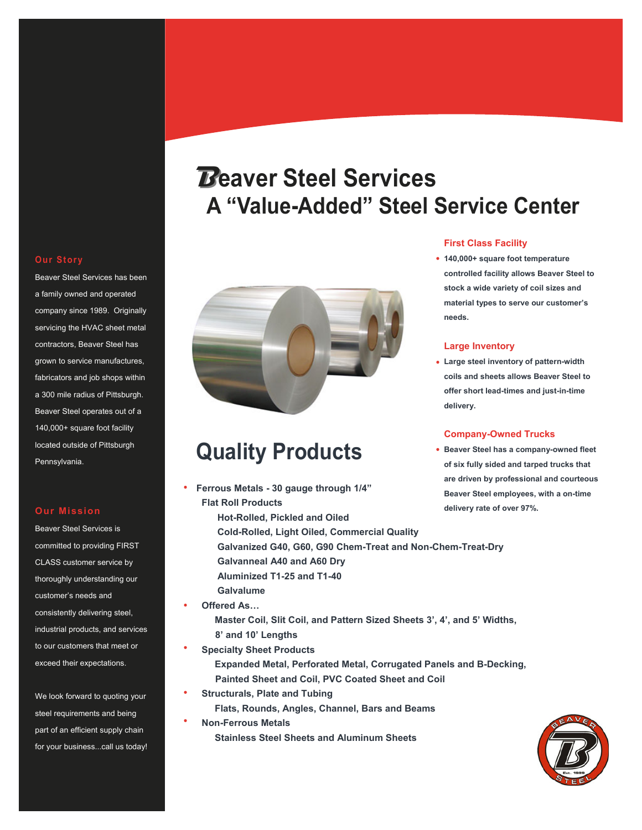## **Our Story**

Beaver Steel Services has been a family owned and operated company since 1989. Originally servicing the HVAC sheet metal contractors, Beaver Steel has grown to service manufactures, fabricators and job shops within a 300 mile radius of Pittsburgh. Beaver Steel operates out of a 140,000+ square foot facility located outside of Pittsburgh Pennsylvania.

### **Our Mission**

Beaver Steel Services is committed to providing FIRST CLASS customer service by thoroughly understanding our customer's needs and consistently delivering steel, industrial products, and services to our customers that meet or exceed their expectations.

We look forward to quoting your steel requirements and being part of an efficient supply chain for your business...call us today!

# **Beaver Steel Services A "Value-Added" Steel Service Center**



## **Quality Products**

- **Ferrous Metals 30 gauge through 1/4" Flat Roll Products Hot-Rolled, Pickled and Oiled Cold-Rolled, Light Oiled, Commercial Quality Galvanized G40, G60, G90 Chem-Treat and Non-Chem-Treat-Dry Galvanneal A40 and A60 Dry Aluminized T1-25 and T1-40 Galvalume**
- **Offered As…**

 $\bullet$ 

- **Master Coil, Slit Coil, and Pattern Sized Sheets 3', 4', and 5' Widths, 8' and 10' Lengths**
- **Specialty Sheet Products Expanded Metal, Perforated Metal, Corrugated Panels and B-Decking, Painted Sheet and Coil, PVC Coated Sheet and Coil**
- **Structurals, Plate and Tubing Flats, Rounds, Angles, Channel, Bars and Beams**
- **Non-Ferrous Metals Stainless Steel Sheets and Aluminum Sheets**

## **First Class Facility**

**140,000+ square foot temperature controlled facility allows Beaver Steel to stock a wide variety of coil sizes and material types to serve our customer's needs.**

## **Large Inventory**

**Large steel inventory of pattern-width coils and sheets allows Beaver Steel to offer short lead-times and just-in-time delivery.**

### **Company-Owned Trucks**

**Beaver Steel has a company-owned fleet of six fully sided and tarped trucks that are driven by professional and courteous Beaver Steel employees, with a on-time delivery rate of over 97%.**